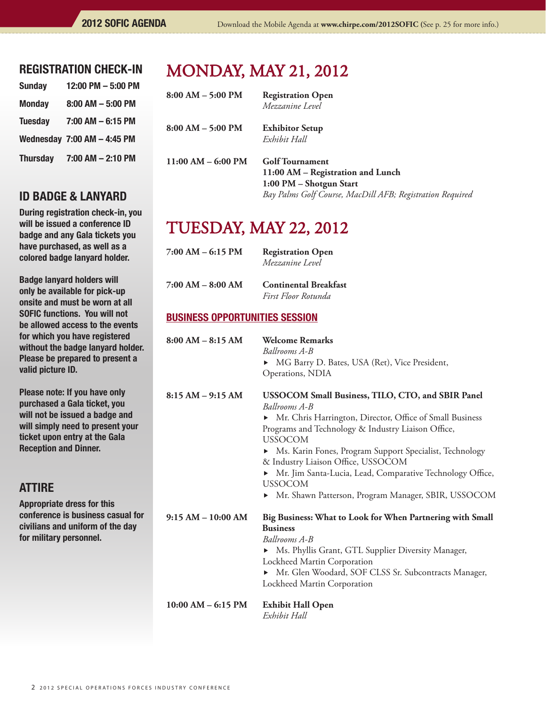#### REGISTRATION CHECK-IN

| <b>Sunday</b>   | 12:00 PM - 5:00 PM          |
|-----------------|-----------------------------|
| <b>Monday</b>   | $8:00$ AM $-5:00$ PM        |
| <b>Tuesday</b>  | 7:00 AM - 6:15 PM           |
|                 | Wednesday 7:00 AM - 4:45 PM |
| <b>Thursday</b> | 7:00 AM - 2:10 PM           |

### id badge & LANYARD

During registration check-in, you will be issued a conference ID badge and any Gala tickets you have purchased, as well as a colored badge lanyard holder.

Badge lanyard holders will only be available for pick-up onsite and must be worn at all SOFIC functions. You will not be allowed access to the events for which you have registered without the badge lanyard holder. Please be prepared to present a valid picture ID.

Please note: If you have only purchased a Gala ticket, you will not be issued a badge and will simply need to present your ticket upon entry at the Gala Reception and Dinner.

# **ATTIRE**

Appropriate dress for this conference is business casual for civilians and uniform of the day for military personnel.

# monday, may 21, 2012

| $8:00 AM - 5:00 PM$  | <b>Registration Open</b><br>Mezzanine Level                                                                                                         |
|----------------------|-----------------------------------------------------------------------------------------------------------------------------------------------------|
| $8:00 AM - 5:00 PM$  | <b>Exhibitor Setup</b><br>Exhibit Hall                                                                                                              |
| $11:00 AM - 6:00 PM$ | <b>Golf Tournament</b><br>11:00 AM - Registration and Lunch<br>1:00 PM - Shotgun Start<br>Bay Palms Golf Course, MacDill AFB; Registration Required |

# tuesday, may 22, 2012

| 7:00 AM – 6:15 PM | <b>Registration Open</b> |
|-------------------|--------------------------|
|                   | Mezzanine Level          |
|                   |                          |

**7:00 AM – 8:00 AM Continental Breakfast**  *First Floor Rotunda*

#### BUSINESS OPPORTUNITIES SESSION

| $8:00 AM - 8:15 AM$    | <b>Welcome Remarks</b><br>Ballrooms A-B<br>MG Barry D. Bates, USA (Ret), Vice President,<br>Operations, NDIA                                                                                                                                                                                                                                                                                                                                                                      |
|------------------------|-----------------------------------------------------------------------------------------------------------------------------------------------------------------------------------------------------------------------------------------------------------------------------------------------------------------------------------------------------------------------------------------------------------------------------------------------------------------------------------|
| $8:15 AM - 9:15 AM$    | USSOCOM Small Business, TILO, CTO, and SBIR Panel<br><b>Ballrooms A-B</b><br>• Mr. Chris Harrington, Director, Office of Small Business<br>Programs and Technology & Industry Liaison Office,<br><b>USSOCOM</b><br>▶ Ms. Karin Fones, Program Support Specialist, Technology<br>& Industry Liaison Office, USSOCOM<br>Mr. Jim Santa-Lucia, Lead, Comparative Technology Office,<br>$\blacktriangleright$<br><b>USSOCOM</b><br>Mr. Shawn Patterson, Program Manager, SBIR, USSOCOM |
| $9:15 AM - 10:00 AM$   | Big Business: What to Look for When Partnering with Small<br><b>Business</b><br>Ballrooms A-B<br>• Ms. Phyllis Grant, GTL Supplier Diversity Manager,<br>Lockheed Martin Corporation<br>Mr. Glen Woodard, SOF CLSS Sr. Subcontracts Manager,<br>▶<br>Lockheed Martin Corporation                                                                                                                                                                                                  |
| $10:00$ AM $-$ 6:15 PM | <b>Exhibit Hall Open</b><br>Exhibit Hall                                                                                                                                                                                                                                                                                                                                                                                                                                          |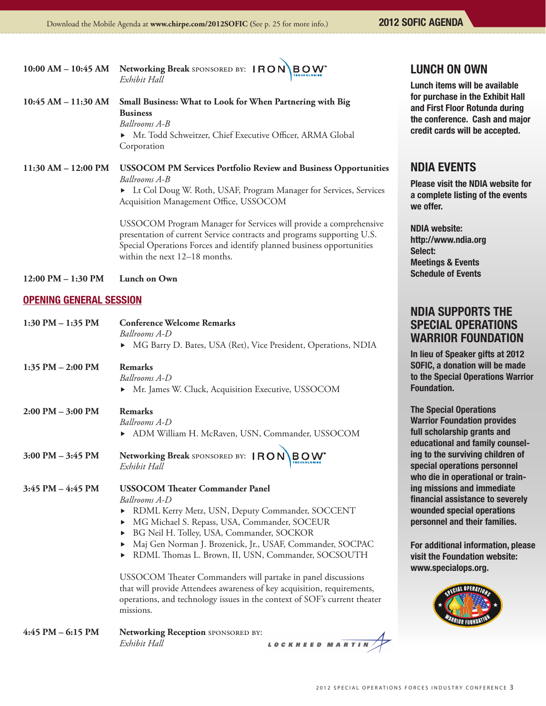2012 SOFIC AGENDA

|                                | 10:00 AM - 10:45 AM Networking Break SPONSORED BY: IRON BOW<br>Exhibit Hall                                                                                                                                                                                                                                                                                                                                                                                                                                                                                                         | <b>LUN</b><br>Lunch                                                 |
|--------------------------------|-------------------------------------------------------------------------------------------------------------------------------------------------------------------------------------------------------------------------------------------------------------------------------------------------------------------------------------------------------------------------------------------------------------------------------------------------------------------------------------------------------------------------------------------------------------------------------------|---------------------------------------------------------------------|
| 10:45 AM - 11:30 AM            | Small Business: What to Look for When Partnering with Big<br><b>Business</b><br>Ballrooms A-B<br>Mr. Todd Schweitzer, Chief Executive Officer, ARMA Global<br>Corporation                                                                                                                                                                                                                                                                                                                                                                                                           | for pu<br>and F<br>the co<br>credit                                 |
| 11:30 AM - 12:00 PM            | <b>USSOCOM PM Services Portfolio Review and Business Opportunities</b><br>Ballrooms A-B<br>Lt Col Doug W. Roth, USAF, Program Manager for Services, Services<br>Acquisition Management Office, USSOCOM                                                                                                                                                                                                                                                                                                                                                                              | <b>NDIA</b><br><b>Pleas</b><br>a com<br>we of                       |
|                                | USSOCOM Program Manager for Services will provide a comprehensive<br>presentation of current Service contracts and programs supporting U.S.<br>Special Operations Forces and identify planned business opportunities<br>within the next 12–18 months.                                                                                                                                                                                                                                                                                                                               | <b>NDIA</b><br>http://<br><b>Select</b><br><b>Meeti</b>             |
| 12:00 PM - 1:30 PM             | Lunch on Own                                                                                                                                                                                                                                                                                                                                                                                                                                                                                                                                                                        | <b>Sched</b>                                                        |
| <b>OPENING GENERAL SESSION</b> |                                                                                                                                                                                                                                                                                                                                                                                                                                                                                                                                                                                     |                                                                     |
| 1:30 PM - 1:35 PM              | <b>Conference Welcome Remarks</b><br>Ballrooms A-D<br>• MG Barry D. Bates, USA (Ret), Vice President, Operations, NDIA                                                                                                                                                                                                                                                                                                                                                                                                                                                              | <b>NDIA</b><br><b>SPE</b><br><b>WAR</b><br>In lieu                  |
| 1:35 PM - 2:00 PM              | <b>Remarks</b><br>Ballrooms A-D<br>• Mr. James W. Cluck, Acquisition Executive, USSOCOM                                                                                                                                                                                                                                                                                                                                                                                                                                                                                             | <b>SOFIC</b><br>to the<br><b>Found</b>                              |
| 2:00 PM - 3:00 PM              | <b>Remarks</b><br>Ballrooms A-D<br>> ADM William H. McRaven, USN, Commander, USSOCOM                                                                                                                                                                                                                                                                                                                                                                                                                                                                                                | The S<br><b>Warrio</b><br>full so                                   |
| 3:00 PM - 3:45 PM              | Networking Break SPONSORED BY: IRON BOW<br>Exhibit Hall                                                                                                                                                                                                                                                                                                                                                                                                                                                                                                                             | educa<br>ing to<br>specia<br>who c                                  |
| 3:45 PM – 4:45 PM              | <b>USSOCOM Theater Commander Panel</b><br>Ballrooms A-D<br>RDML Kerry Metz, USN, Deputy Commander, SOCCENT<br>MG Michael S. Repass, USA, Commander, SOCEUR<br>▶<br>BG Neil H. Tolley, USA, Commander, SOCKOR<br>▶<br>Maj Gen Norman J. Brozenick, Jr., USAF, Commander, SOCPAC<br>▶<br>RDML Thomas L. Brown, II, USN, Commander, SOCSOUTH<br>▶<br>USSOCOM Theater Commanders will partake in panel discussions<br>that will provide Attendees awareness of key acquisition, requirements,<br>operations, and technology issues in the context of SOF's current theater<br>missions. | ing m<br>finand<br>woun<br>perso<br>For a<br>visit t<br><b>WWW.</b> |

**4:45 PM – 6:15 PM Networking Reception** sponsored by:  *Exhibit Hall* LOCKHEED MARTIN

#### **CH ON OWN**

h items will be available **rchase in the Exhibit Hall** irst Floor Rotunda during Inference. Cash and major cards will be accepted.

## **A EVENTS**

e visit the NDIA website for plete listing of the events fer.

website: /www.ndia.org Select: ngs & Events lule of Events

#### **N SUPPORTS THE** CIAL OPERATIONS **RIOR FOUNDATION**

of Speaker gifts at 2012 , a donation will be made **Special Operations Warrior** lation.

pecial Operations or Foundation provides holarship grants and tional and family counselthe surviving children of al operations personnel lie in operational or trainissions and immediate ial assistance to severely ded special operations nnel and their families.

Iditional information, please he Foundation website: specialops.org.

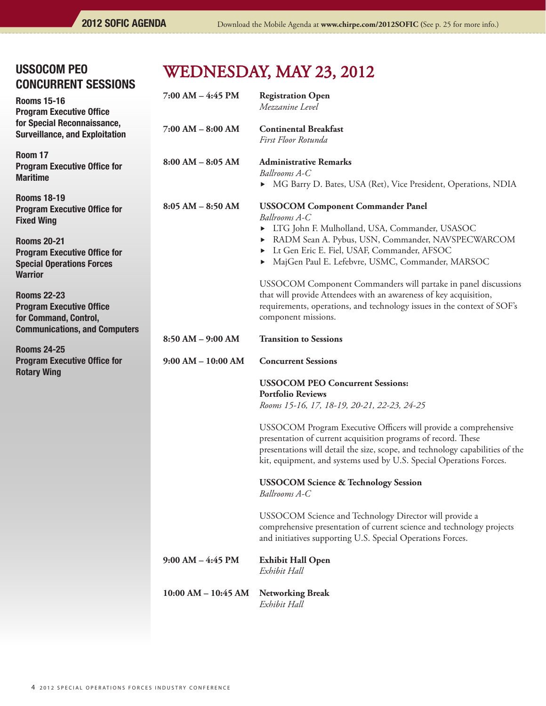| <b>USSOCOM PEO</b><br><b>CONCURRENT SESSIONS</b>                                                                       | WEDNESDAY, MAY 23, 2012 |                                                                                                                                                                                                                                                                                          |
|------------------------------------------------------------------------------------------------------------------------|-------------------------|------------------------------------------------------------------------------------------------------------------------------------------------------------------------------------------------------------------------------------------------------------------------------------------|
| <b>Rooms 15-16</b><br><b>Program Executive Office</b>                                                                  | $7:00$ AM $-$ 4:45 PM   | <b>Registration Open</b><br>Mezzanine Level                                                                                                                                                                                                                                              |
| for Special Reconnaissance,<br><b>Surveillance, and Exploitation</b>                                                   | $7:00 AM - 8:00 AM$     | <b>Continental Breakfast</b><br>First Floor Rotunda                                                                                                                                                                                                                                      |
| Room 17<br><b>Program Executive Office for</b><br><b>Maritime</b>                                                      | $8:00 AM - 8:05 AM$     | <b>Administrative Remarks</b><br>Ballrooms A-C<br>• MG Barry D. Bates, USA (Ret), Vice President, Operations, NDIA                                                                                                                                                                       |
| <b>Rooms 18-19</b><br><b>Program Executive Office for</b><br><b>Fixed Wing</b>                                         | $8:05 AM - 8:50 AM$     | <b>USSOCOM Component Commander Panel</b><br>Ballrooms A-C                                                                                                                                                                                                                                |
| <b>Rooms 20-21</b><br><b>Program Executive Office for</b><br><b>Special Operations Forces</b><br><b>Warrior</b>        |                         | ETG John F. Mulholland, USA, Commander, USASOC<br>RADM Sean A. Pybus, USN, Commander, NAVSPECWARCOM<br>Lt Gen Eric E. Fiel, USAF, Commander, AFSOC<br>MajGen Paul E. Lefebvre, USMC, Commander, MARSOC                                                                                   |
| <b>Rooms 22-23</b><br><b>Program Executive Office</b><br>for Command, Control,<br><b>Communications, and Computers</b> |                         | USSOCOM Component Commanders will partake in panel discussions<br>that will provide Attendees with an awareness of key acquisition,<br>requirements, operations, and technology issues in the context of SOF's<br>component missions.                                                    |
| <b>Rooms 24-25</b>                                                                                                     | 8:50 AM - 9:00 AM       | <b>Transition to Sessions</b>                                                                                                                                                                                                                                                            |
| <b>Program Executive Office for</b><br><b>Rotary Wing</b>                                                              | $9:00 AM - 10:00 AM$    | <b>Concurrent Sessions</b>                                                                                                                                                                                                                                                               |
|                                                                                                                        |                         | <b>USSOCOM PEO Concurrent Sessions:</b><br><b>Portfolio Reviews</b><br>Rooms 15-16, 17, 18-19, 20-21, 22-23, 24-25                                                                                                                                                                       |
|                                                                                                                        |                         | USSOCOM Program Executive Officers will provide a comprehensive<br>presentation of current acquisition programs of record. These<br>presentations will detail the size, scope, and technology capabilities of the<br>kit, equipment, and systems used by U.S. Special Operations Forces. |
|                                                                                                                        |                         | <b>USSOCOM Science &amp; Technology Session</b><br>Ballrooms A-C                                                                                                                                                                                                                         |
|                                                                                                                        |                         | USSOCOM Science and Technology Director will provide a<br>comprehensive presentation of current science and technology projects<br>and initiatives supporting U.S. Special Operations Forces.                                                                                            |
|                                                                                                                        | $9:00$ AM $-4:45$ PM    | <b>Exhibit Hall Open</b><br>Exhibit Hall                                                                                                                                                                                                                                                 |
|                                                                                                                        | $10:00$ AM $- 10:45$ AM | <b>Networking Break</b><br>Exhibit Hall                                                                                                                                                                                                                                                  |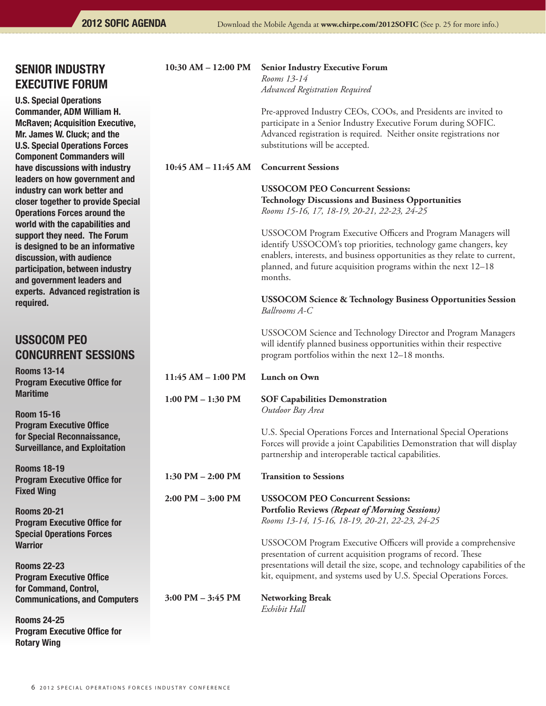## SENIOR INDUSTRY EXECUTIVE FORUM

U.S. Special Operations Commander, ADM William H. McRaven; Acquisition Executive, Mr. James W. Cluck; and the U.S. Special Operations Forces Component Commanders will have discussions with industry leaders on how government and industry can work better and closer together to provide Special Operations Forces around the world with the capabilities and support they need. The Forum is designed to be an informative discussion, with audience participation, between industry and government leaders and experts. Advanced registration is required.

# ussocom peo concurrent sessions

Rooms 13-14 Program Executive Office for Maritime

Room 15-16 Program Executive Office for Special Reconnaissance, Surveillance, and Exploitation

Rooms 18-19 Program Executive Office for Fixed Wing

Rooms 20-21 Program Executive Office for Special Operations Forces **Warrior** 

Rooms 22-23 Program Executive Office for Command, Control, Communications, and Computers

Rooms 24-25 Program Executive Office for Rotary Wing

| $10:30$ AM $- 12:00$ PM             | <b>Senior Industry Executive Forum</b><br>Rooms 13-14<br>Advanced Registration Required                                                                                                                                                                                                     |
|-------------------------------------|---------------------------------------------------------------------------------------------------------------------------------------------------------------------------------------------------------------------------------------------------------------------------------------------|
|                                     | Pre-approved Industry CEOs, COOs, and Presidents are invited to<br>participate in a Senior Industry Executive Forum during SOFIC.<br>Advanced registration is required. Neither onsite registrations nor<br>substitutions will be accepted.                                                 |
| $10:45 AM - 11:45 AM$               | <b>Concurrent Sessions</b>                                                                                                                                                                                                                                                                  |
|                                     | <b>USSOCOM PEO Concurrent Sessions:</b><br><b>Technology Discussions and Business Opportunities</b><br>Rooms 15-16, 17, 18-19, 20-21, 22-23, 24-25                                                                                                                                          |
|                                     | USSOCOM Program Executive Officers and Program Managers will<br>identify USSOCOM's top priorities, technology game changers, key<br>enablers, interests, and business opportunities as they relate to current,<br>planned, and future acquisition programs within the next 12-18<br>months. |
|                                     | <b>USSOCOM Science &amp; Technology Business Opportunities Session</b><br>Ballrooms A-C                                                                                                                                                                                                     |
|                                     | USSOCOM Science and Technology Director and Program Managers<br>will identify planned business opportunities within their respective<br>program portfolios within the next 12-18 months.                                                                                                    |
| 11:45 AM - 1:00 PM                  | Lunch on Own                                                                                                                                                                                                                                                                                |
| $1:00$ PM $-1:30$ PM                | <b>SOF Capabilities Demonstration</b><br>Outdoor Bay Area                                                                                                                                                                                                                                   |
|                                     | U.S. Special Operations Forces and International Special Operations<br>Forces will provide a joint Capabilities Demonstration that will display<br>partnership and interoperable tactical capabilities.                                                                                     |
| $1:30$ PM $- 2:00$ PM               | <b>Transition to Sessions</b>                                                                                                                                                                                                                                                               |
| $2:00 \text{ PM} - 3:00 \text{ PM}$ | <b>USSOCOM PEO Concurrent Sessions:</b>                                                                                                                                                                                                                                                     |

 **Portfolio Reviews** *(Repeat of Morning Sessions)* *Rooms 13-14, 15-16, 18-19, 20-21, 22-23, 24-25*

USSOCOM Program Executive Officers will provide a comprehensive presentation of current acquisition programs of record. These presentations will detail the size, scope, and technology capabilities of the kit, equipment, and systems used by U.S. Special Operations Forces.

**3:00 PM – 3:45 PM Networking Break**

*Exhibit Hall*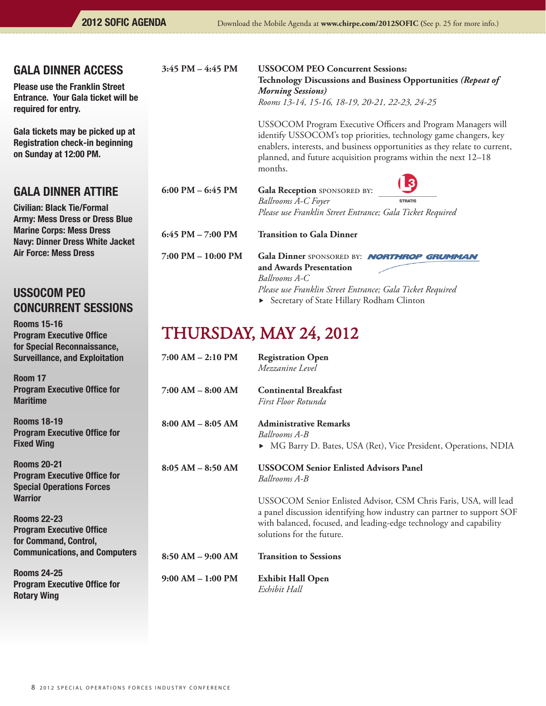### gala dinner access

Please use the Franklin Street Entrance. Your Gala ticket will be required for entry.

Gala tickets may be picked up at Registration check-in beginning on Sunday at 12:00 PM.

## gala dinner attire

Civilian: Black Tie/Formal Army: Mess Dress or Dress Blue Marine Corps: Mess Dress Navy: Dinner Dress White Jacket Air Force: Mess Dress

# ussocom peo concurrent sessions

Rooms 15-16 Program Executive Office for Special Reconnaissance, Surveillance, and Exploitation

Room 17 Program Executive Office for Maritime

Rooms 18-19 Program Executive Office for Fixed Wing

Rooms 20-21 Program Executive Office for Special Operations Forces **Warrior** 

Rooms 22-23 Program Executive Office for Command, Control, Communications, and Computers

Rooms 24-25 Program Executive Office for Rotary Wing

#### **3:45 PM – 4:45 PM USSOCOM PEO Concurrent Sessions:**

 **Technology Discussions and Business Opportunities** *(Repeat of Morning Sessions)*  *Rooms 13-14, 15-16, 18-19, 20-21, 22-23, 24-25*

USSOCOM Program Executive Officers and Program Managers will identify USSOCOM's top priorities, technology game changers, key enablers, interests, and business opportunities as they relate to current, planned, and future acquisition programs within the next 12–18 months.

 $\sqrt{2}$ 

| 6:00 PM – 6:45 PM  | Gala Reception SPONSORED BY:<br><b>Ballrooms A-C Foyer</b><br>Please use Franklin Street Entrance; Gala Ticket Required | <u>( P)</u><br><b>STRATIS</b> |
|--------------------|-------------------------------------------------------------------------------------------------------------------------|-------------------------------|
| 6:45 PM – 7:00 PM  | <b>Transition to Gala Dinner</b>                                                                                        |                               |
| 7:00 PM – 10:00 PM | Gala Dinner SPONSORED BY: <b>NORTHROP GRUMMAN</b>                                                                       |                               |

 **and Awards Presentation**  *Ballrooms A-C Please use Franklin Street Entrance; Gala Ticket Required* ▶ Secretary of State Hillary Rodham Clinton

# THURSDAY, may 24, 2012

| $7:00$ AM $- 2:10$ PM | <b>Registration Open</b><br>Mezzanine Level                                                                                                                                                                                                   |
|-----------------------|-----------------------------------------------------------------------------------------------------------------------------------------------------------------------------------------------------------------------------------------------|
| $7:00$ AM $-$ 8:00 AM | <b>Continental Breakfast</b><br>First Floor Rotunda                                                                                                                                                                                           |
| $8:00 AM - 8:05 AM$   | <b>Administrative Remarks</b><br>Ballrooms A-B<br>▶ MG Barry D. Bates, USA (Ret), Vice President, Operations, NDIA                                                                                                                            |
| $8:05 AM - 8:50 AM$   | <b>USSOCOM Senior Enlisted Advisors Panel</b><br>Ballrooms A-B                                                                                                                                                                                |
|                       | USSOCOM Senior Enlisted Advisor, CSM Chris Faris, USA, will lead<br>a panel discussion identifying how industry can partner to support SOF<br>with balanced, focused, and leading-edge technology and capability<br>solutions for the future. |
| $8:50 AM - 9:00 AM$   | <b>Transition to Sessions</b>                                                                                                                                                                                                                 |
| $9:00 AM - 1:00 PM$   | <b>Exhibit Hall Open</b><br>Exhibit Hall                                                                                                                                                                                                      |